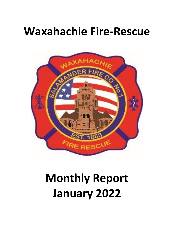## **Waxahachie Fire-Rescue**



# **Monthly Report January 2022**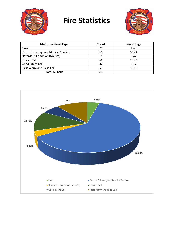

## **Fire Statistics**



| <b>Major Incident Type</b>         | Count | Percentage |
|------------------------------------|-------|------------|
| <b>Fires</b>                       | 23    | 4.43       |
| Rescue & Emergency Medical Service | 323   | 62.24      |
| Hazardous Condition (No Fire)      | 18    | 3.47       |
| Service Call                       | 66    | 12.72      |
| Good Intent Call                   | 32    | 6.17       |
| <b>False Alarm and False Call</b>  | 57    | 10.98      |
| <b>Total All Calls</b>             | 519   |            |

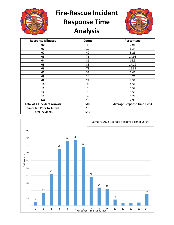

**Fire-Rescue Incident** 

### **Response Time Analysis**



| <b>Response Minutes</b>               | Count | Percentage                         |
|---------------------------------------|-------|------------------------------------|
| 00                                    | 5     | 0.98                               |
| 01                                    | 17    | 3.34                               |
| 02                                    | 42    | 8.25                               |
| 03                                    | 76    | 14.93                              |
| 04                                    | 86    | 16.9                               |
| 05                                    | 88    | 17.29                              |
| 06                                    | 78    | 15.32                              |
| 07                                    | 38    | 7.47                               |
| 08                                    | 24    | 4.72                               |
| 09                                    | 22    | 4.32                               |
| 10                                    | 8     | 1.57                               |
| 11                                    | 3     | 0.59                               |
| 12                                    | 3     | 0.59                               |
| 13                                    | 4     | 0.79                               |
| $14+$                                 | 15    | 2.95                               |
| <b>Total of All Incident Arrivals</b> | 509   | <b>Average Response Time 05:54</b> |
| <b>Cancelled Prior to Arrival</b>     | 10    |                                    |
| <b>Total Incidents</b>                | 519   |                                    |

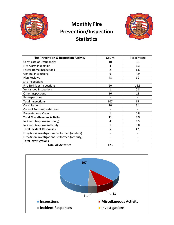

#### **Monthly Fire Prevention/Inspection Statistics**



| <b>Fire Prevention &amp; Inspection Activity</b> | Count                    | Percentage |
|--------------------------------------------------|--------------------------|------------|
| <b>Certificate of Occupancies</b>                | 10                       | 8.1        |
| Fire Alarm Inspection                            | 4                        | 3.3        |
| <b>Foster Home Inspections</b>                   | 2                        | 1.6        |
| <b>General Inspections</b>                       | 6                        | 4.9        |
| <b>Plan Reviews</b>                              | 48                       | 39         |
| Site Inspections                                 |                          |            |
| Fire Sprinkler Inspections                       | 20                       | 16.3       |
| Ventahood Inspections                            | 1                        | 0.8        |
| Other Inspections                                | 16                       | 13         |
| Re-Inspections                                   | $\overline{\phantom{0}}$ |            |
| <b>Total Inspections</b>                         | 107                      | 87         |
| Consultations                                    | 10                       | 8.1        |
| <b>Control Burn Authorizations</b>               |                          |            |
| <b>Presentations Made</b>                        | $\mathbf{1}$             | 0.8        |
| <b>Total Miscellaneous Activity</b>              | 11                       | 8.9        |
| Incident Response (on-duty)                      | 4                        | 3.3        |
| Incident Response (off-duty)                     | $\mathbf{1}$             | 0.8        |
| <b>Total Incident Responses</b>                  | 5                        | 4.1        |
| Fire/Arson Investigations Performed (on-duty)    |                          |            |
| Fire/Arson Investigations Performed (off-duty)   |                          |            |
| <b>Total Investigations</b>                      |                          |            |
| <b>Total All Activities</b>                      | 123                      |            |